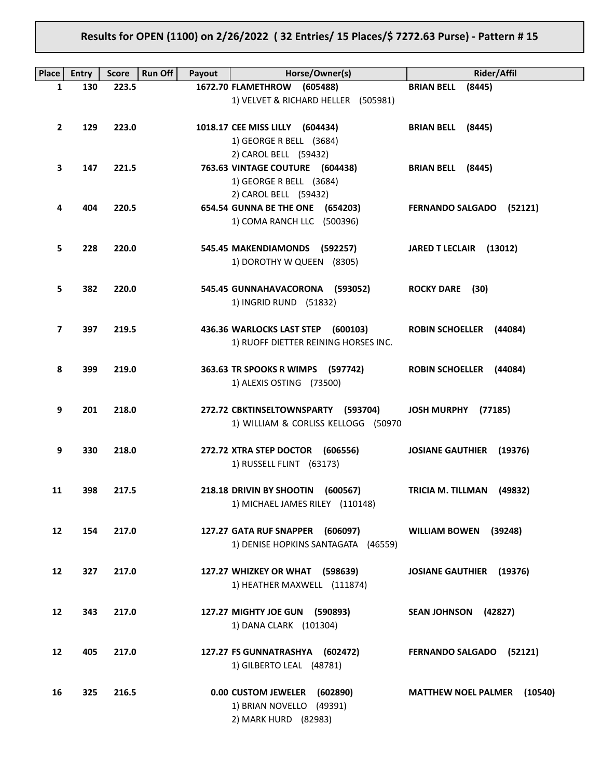# Results for OPEN (1100) on 2/26/2022 ( 32 Entries/ 15 Places/\$ 7272.63 Purse) - Pattern # 15

| Place             | <b>Entry</b> | <b>Score</b> | <b>Run Off</b><br>Payout | Horse/Owner(s)                                                                      | <b>Rider/Affil</b>                    |
|-------------------|--------------|--------------|--------------------------|-------------------------------------------------------------------------------------|---------------------------------------|
| 1                 | 130          | 223.5        |                          | 1672.70 FLAMETHROW (605488)                                                         | <b>BRIAN BELL</b><br>(8445)           |
|                   |              |              |                          | 1) VELVET & RICHARD HELLER (505981)                                                 |                                       |
| $\overline{2}$    | 129          | 223.0        |                          | 1018.17 CEE MISS LILLY (604434)<br>1) GEORGE R BELL (3684)<br>2) CAROL BELL (59432) | BRIAN BELL (8445)                     |
| 3                 | 147          | 221.5        |                          | 763.63 VINTAGE COUTURE (604438)                                                     | BRIAN BELL (8445)                     |
|                   |              |              |                          |                                                                                     |                                       |
|                   |              |              |                          | 1) GEORGE R BELL (3684)                                                             |                                       |
|                   |              |              |                          | 2) CAROL BELL (59432)                                                               |                                       |
| 4                 | 404          | 220.5        |                          | 654.54 GUNNA BE THE ONE (654203)<br>1) COMA RANCH LLC (500396)                      | FERNANDO SALGADO (52121)              |
| 5                 | 228          | 220.0        |                          | 545.45 MAKENDIAMONDS (592257)                                                       | JARED T LECLAIR (13012)               |
|                   |              |              |                          | 1) DOROTHY W QUEEN (8305)                                                           |                                       |
| 5                 | 382          | 220.0        |                          | 545.45 GUNNAHAVACORONA (593052)<br>1) INGRID RUND (51832)                           | <b>ROCKY DARE</b> (30)                |
| 7                 | 397          | 219.5        |                          | 436.36 WARLOCKS LAST STEP (600103)<br>1) RUOFF DIETTER REINING HORSES INC.          | <b>ROBIN SCHOELLER (44084)</b>        |
| 8                 | 399          | 219.0        |                          | 363.63 TR SPOOKS R WIMPS (597742)<br>1) ALEXIS OSTING (73500)                       | <b>ROBIN SCHOELLER (44084)</b>        |
| 9                 | 201          | 218.0        |                          | 272.72 CBKTINSELTOWNSPARTY (593704)<br>1) WILLIAM & CORLISS KELLOGG (50970          | JOSH MURPHY (77185)                   |
| 9                 | 330          | 218.0        |                          | 272.72 XTRA STEP DOCTOR (606556)<br>1) RUSSELL FLINT (63173)                        | <b>JOSIANE GAUTHIER</b><br>(19376)    |
| 11                | 398          | 217.5        |                          | 218.18 DRIVIN BY SHOOTIN<br>(600567)<br>1) MICHAEL JAMES RILEY (110148)             | <b>TRICIA M. TILLMAN</b><br>(49832)   |
| 12                | 154          | 217.0        |                          | 127.27 GATA RUF SNAPPER (606097)<br>1) DENISE HOPKINS SANTAGATA (46559)             | <b>WILLIAM BOWEN</b><br>(39248)       |
| $12 \overline{ }$ | 327          | 217.0        |                          | 127.27 WHIZKEY OR WHAT (598639)<br>1) HEATHER MAXWELL (111874)                      | <b>JOSIANE GAUTHIER (19376)</b>       |
| 12                | 343          | 217.0        |                          | 127.27 MIGHTY JOE GUN (590893)<br>1) DANA CLARK (101304)                            | SEAN JOHNSON (42827)                  |
| 12                | 405          | 217.0        |                          | 127.27 FS GUNNATRASHYA (602472)<br>1) GILBERTO LEAL (48781)                         | FERNANDO SALGADO (52121)              |
| 16                | 325          | 216.5        |                          | 0.00 CUSTOM JEWELER (602890)<br>1) BRIAN NOVELLO (49391)<br>2) MARK HURD (82983)    | <b>MATTHEW NOEL PALMER</b><br>(10540) |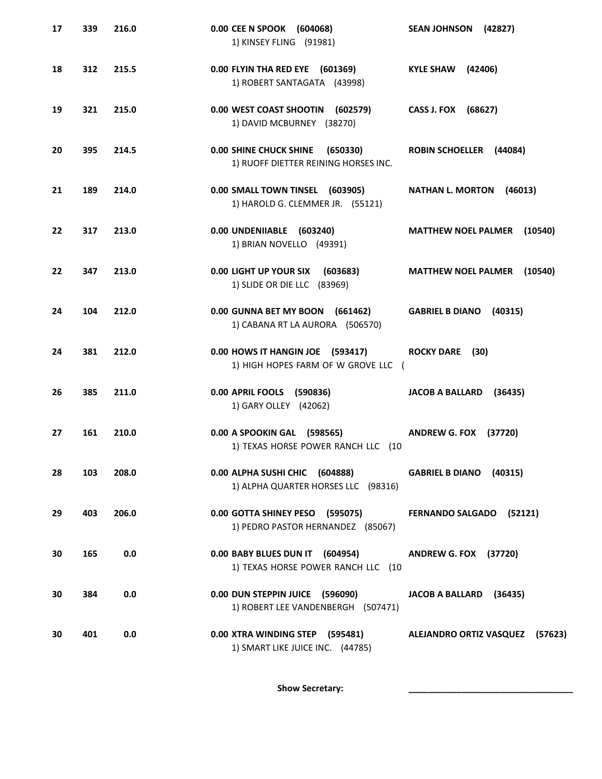| 17 | 339 | 216.0 | 0.00 CEE N SPOOK (604068)<br>1) KINSEY FLING (91981)                              | SEAN JOHNSON (42827)                  |
|----|-----|-------|-----------------------------------------------------------------------------------|---------------------------------------|
| 18 | 312 | 215.5 | 0.00 FLYIN THA RED EYE (601369)<br>1) ROBERT SANTAGATA (43998)                    | (42406)<br><b>KYLE SHAW</b>           |
| 19 | 321 | 215.0 | 0.00 WEST COAST SHOOTIN<br>(602579)<br>1) DAVID MCBURNEY (38270)                  | CASS J. FOX (68627)                   |
| 20 | 395 | 214.5 | <b>0.00 SHINE CHUCK SHINE</b><br>(650330)<br>1) RUOFF DIETTER REINING HORSES INC. | ROBIN SCHOELLER (44084)               |
| 21 | 189 | 214.0 | 0.00 SMALL TOWN TINSEL (603905)<br>1) HAROLD G. CLEMMER JR. (55121)               | <b>NATHAN L. MORTON</b><br>(46013)    |
| 22 | 317 | 213.0 | 0.00 UNDENIIABLE (603240)<br>1) BRIAN NOVELLO (49391)                             | <b>MATTHEW NOEL PALMER (10540)</b>    |
| 22 | 347 | 213.0 | 0.00 LIGHT UP YOUR SIX<br>(603683)<br>1) SLIDE OR DIE LLC (83969)                 | <b>MATTHEW NOEL PALMER</b><br>(10540) |
| 24 | 104 | 212.0 | 0.00 GUNNA BET MY BOON<br>(661462)<br>1) CABANA RT LA AURORA (506570)             | <b>GABRIEL B DIANO</b><br>(40315)     |
| 24 | 381 | 212.0 | 0.00 HOWS IT HANGIN JOE (593417)<br>1) HIGH HOPES FARM OF W GROVE LLC (           | <b>ROCKY DARE</b> (30)                |
| 26 | 385 | 211.0 | 0.00 APRIL FOOLS (590836)<br>1) GARY OLLEY (42062)                                | <b>JACOB A BALLARD</b><br>(36435)     |
| 27 | 161 | 210.0 | 0.00 A SPOOKIN GAL (598565)<br>1) TEXAS HORSE POWER RANCH LLC (10                 | <b>ANDREW G. FOX (37720)</b>          |
| 28 | 103 | 208.0 | 0.00 ALPHA SUSHI CHIC (604888)<br>1) ALPHA QUARTER HORSES LLC (98316)             | GABRIEL B DIANO (40315)               |
| 29 | 403 | 206.0 | 0.00 GOTTA SHINEY PESO (595075)<br>1) PEDRO PASTOR HERNANDEZ (85067)              | FERNANDO SALGADO (52121)              |
| 30 | 165 | 0.0   | 0.00 BABY BLUES DUN IT (604954)<br>1) TEXAS HORSE POWER RANCH LLC (10             | <b>ANDREW G. FOX (37720)</b>          |
| 30 | 384 | 0.0   | 0.00 DUN STEPPIN JUICE (596090)<br>1) ROBERT LEE VANDENBERGH (507471)             | JACOB A BALLARD (36435)               |
| 30 | 401 | 0.0   | 0.00 XTRA WINDING STEP (595481)<br>1) SMART LIKE JUICE INC. (44785)               | ALEJANDRO ORTIZ VASQUEZ (57623)       |

Show Secretary: